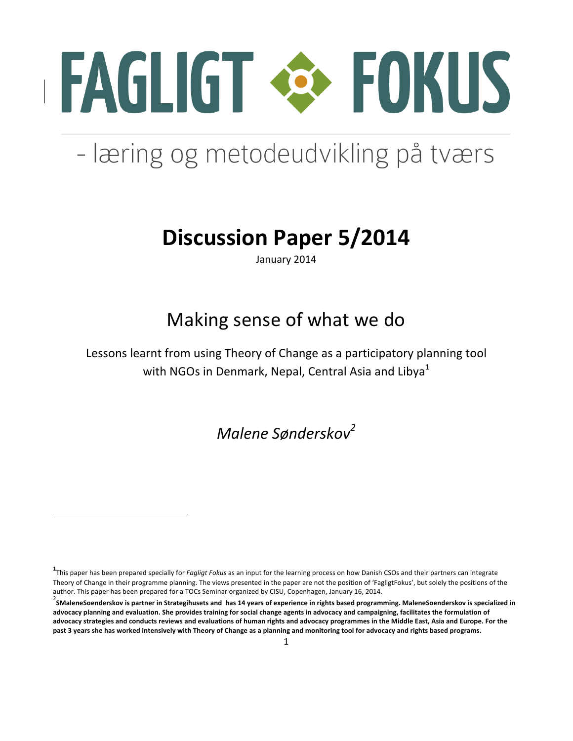

# - læring og metodeudvikling på tværs

## **Discussion Paper 5/2014**

January 2014

## Making sense of what we do

Lessons learnt from using Theory of Change as a participatory planning tool with NGOs in Denmark, Nepal, Central Asia and Libya<sup>1</sup>

*Malene Sønderskov<sup>2</sup>*

<u> 1989 - Jan Samuel Barbara, margaret e</u>

**<sup>1</sup>**<br>This paper has been prepared specially for *Fagligt Fokus* as an input for the learning process on how Danish CSOs and their partners can integrate Theory of Change in their programme planning. The views presented in the paper are not the position of 'FagligtFokus', but solely the positions of the author. This paper has been prepared for a TOCs Seminar organized by CISU, Copenhagen, January 16, 2014.

<sup>&</sup>lt;sup>2</sup> SMaleneSoenderskov is partner in Strategihusets and has 14 years of experience in rights based programming. MaleneSoenderskov is specialized in advocacy planning and evaluation. She provides training for social change agents in advocacy and campaigning, facilitates the formulation of advocacy strategies and conducts reviews and evaluations of human rights and advocacy programmes in the Middle East, Asia and Europe. For the past 3 years she has worked intensively with Theory of Change as a planning and monitoring tool for advocacy and rights based programs.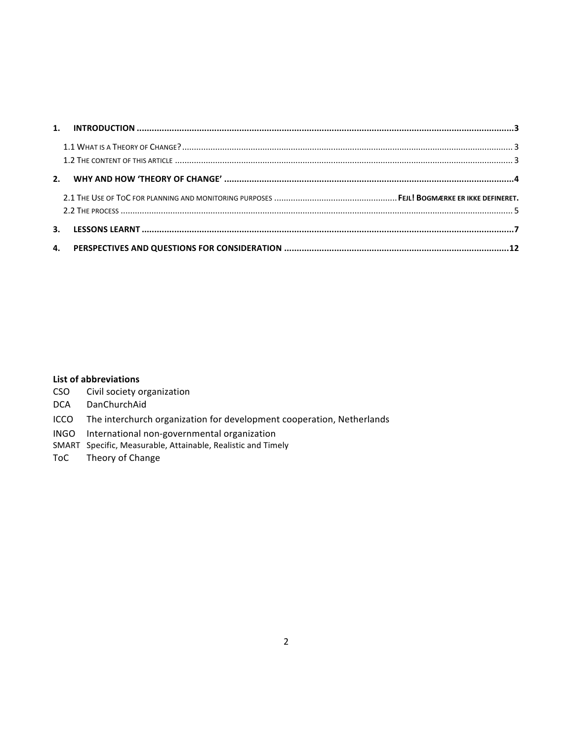### **List of abbreviations**

- CSO Civil society organization
- DCA DanChurchAid
- ICCO The interchurch organization for development cooperation, Netherlands
- INGO International non-governmental organization
- SMART Specific, Measurable, Attainable, Realistic and Timely
- ToC Theory of Change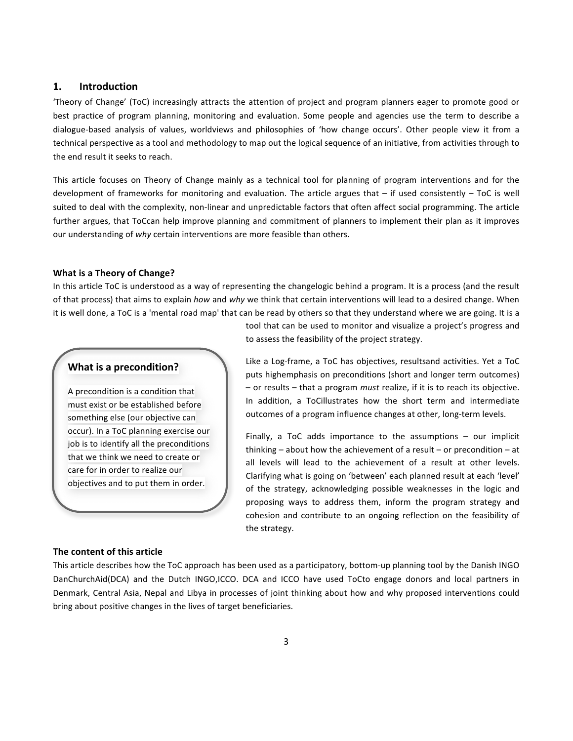#### **1. Introduction**

'Theory of Change' (ToC) increasingly attracts the attention of project and program planners eager to promote good or best practice of program planning, monitoring and evaluation. Some people and agencies use the term to describe a dialogue-based analysis of values, worldviews and philosophies of 'how change occurs'. Other people view it from a technical perspective as a tool and methodology to map out the logical sequence of an initiative, from activities through to the end result it seeks to reach.

This article focuses on Theory of Change mainly as a technical tool for planning of program interventions and for the development of frameworks for monitoring and evaluation. The article argues that  $-$  if used consistently  $-$  ToC is well suited to deal with the complexity, non-linear and unpredictable factors that often affect social programming. The article further argues, that ToCcan help improve planning and commitment of planners to implement their plan as it improves our understanding of why certain interventions are more feasible than others.

#### **What is a Theory of Change?**

In this article ToC is understood as a way of representing the changelogic behind a program. It is a process (and the result of that process) that aims to explain *how* and why we think that certain interventions will lead to a desired change. When it is well done, a ToC is a 'mental road map' that can be read by others so that they understand where we are going. It is a

#### **What is a precondition?**

A precondition is a condition that must exist or be established before something else (our objective can occur). In a ToC planning exercise our job is to identify all the preconditions that we think we need to create or care for in order to realize our objectives and to put them in order.

tool that can be used to monitor and visualize a project's progress and to assess the feasibility of the project strategy.

Like a Log-frame, a ToC has objectives, resultsand activities. Yet a ToC puts highemphasis on preconditions (short and longer term outcomes) – or results – that a program *must* realize, if it is to reach its objective. In addition, a ToCillustrates how the short term and intermediate outcomes of a program influence changes at other, long-term levels.

Finally, a ToC adds importance to the assumptions  $-$  our implicit thinking  $-$  about how the achievement of a result  $-$  or precondition  $-$  at all levels will lead to the achievement of a result at other levels. Clarifying what is going on 'between' each planned result at each 'level' of the strategy, acknowledging possible weaknesses in the logic and proposing ways to address them, inform the program strategy and cohesion and contribute to an ongoing reflection on the feasibility of the strategy.

#### **The content of this article**

This article describes how the ToC approach has been used as a participatory, bottom-up planning tool by the Danish INGO DanChurchAid(DCA) and the Dutch INGO,ICCO. DCA and ICCO have used ToCto engage donors and local partners in Denmark, Central Asia, Nepal and Libya in processes of joint thinking about how and why proposed interventions could bring about positive changes in the lives of target beneficiaries.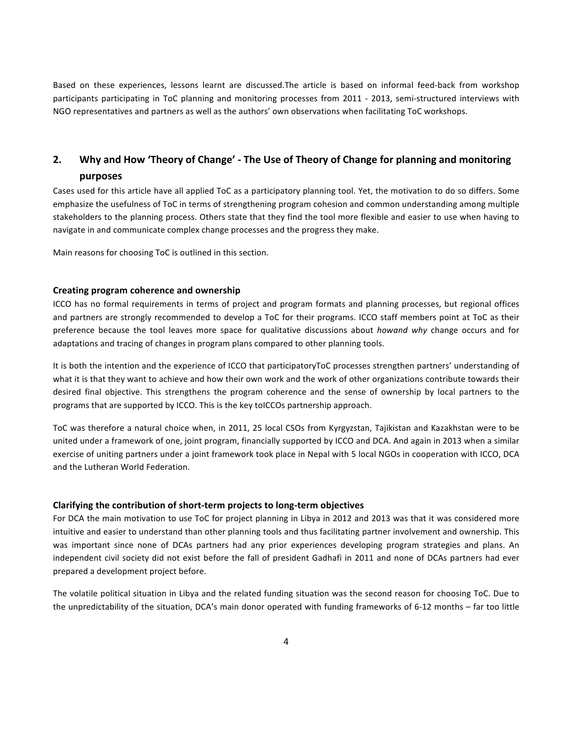Based on these experiences, lessons learnt are discussed.The article is based on informal feed-back from workshop participants participating in ToC planning and monitoring processes from 2011 - 2013, semi-structured interviews with NGO representatives and partners as well as the authors' own observations when facilitating ToC workshops.

## 2. Why and How 'Theory of Change' - The Use of Theory of Change for planning and monitoring **purposes**

Cases used for this article have all applied ToC as a participatory planning tool. Yet, the motivation to do so differs. Some emphasize the usefulness of ToC in terms of strengthening program cohesion and common understanding among multiple stakeholders to the planning process. Others state that they find the tool more flexible and easier to use when having to navigate in and communicate complex change processes and the progress they make.

Main reasons for choosing ToC is outlined in this section.

#### **Creating program coherence and ownership**

ICCO has no formal requirements in terms of project and program formats and planning processes, but regional offices and partners are strongly recommended to develop a ToC for their programs. ICCO staff members point at ToC as their preference because the tool leaves more space for qualitative discussions about *howand* why change occurs and for adaptations and tracing of changes in program plans compared to other planning tools.

It is both the intention and the experience of ICCO that participatoryToC processes strengthen partners' understanding of what it is that they want to achieve and how their own work and the work of other organizations contribute towards their desired final objective. This strengthens the program coherence and the sense of ownership by local partners to the programs that are supported by ICCO. This is the key toICCOs partnership approach.

ToC was therefore a natural choice when, in 2011, 25 local CSOs from Kyrgyzstan, Tajikistan and Kazakhstan were to be united under a framework of one, joint program, financially supported by ICCO and DCA. And again in 2013 when a similar exercise of uniting partners under a joint framework took place in Nepal with 5 local NGOs in cooperation with ICCO, DCA and the Lutheran World Federation.

#### Clarifying the contribution of short-term projects to long-term objectives

For DCA the main motivation to use ToC for project planning in Libya in 2012 and 2013 was that it was considered more intuitive and easier to understand than other planning tools and thus facilitating partner involvement and ownership. This was important since none of DCAs partners had any prior experiences developing program strategies and plans. An independent civil society did not exist before the fall of president Gadhafi in 2011 and none of DCAs partners had ever prepared a development project before.

The volatile political situation in Libya and the related funding situation was the second reason for choosing ToC. Due to the unpredictability of the situation, DCA's main donor operated with funding frameworks of 6-12 months – far too little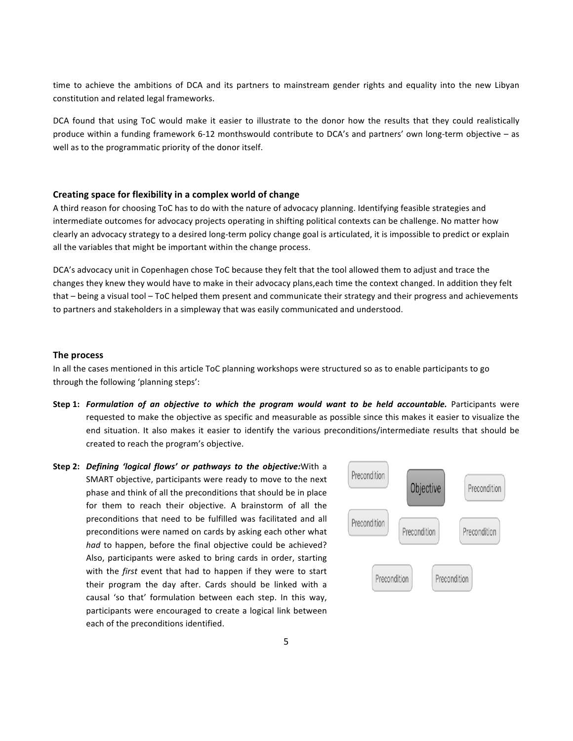time to achieve the ambitions of DCA and its partners to mainstream gender rights and equality into the new Libyan constitution and related legal frameworks.

DCA found that using ToC would make it easier to illustrate to the donor how the results that they could realistically produce within a funding framework 6-12 monthswould contribute to DCA's and partners' own long-term objective - as well as to the programmatic priority of the donor itself.

#### Creating space for flexibility in a complex world of change

A third reason for choosing ToC has to do with the nature of advocacy planning. Identifying feasible strategies and intermediate outcomes for advocacy projects operating in shifting political contexts can be challenge. No matter how clearly an advocacy strategy to a desired long-term policy change goal is articulated, it is impossible to predict or explain all the variables that might be important within the change process.

DCA's advocacy unit in Copenhagen chose ToC because they felt that the tool allowed them to adjust and trace the changes they knew they would have to make in their advocacy plans,each time the context changed. In addition they felt that  $-$  being a visual tool  $-$  ToC helped them present and communicate their strategy and their progress and achievements to partners and stakeholders in a simpleway that was easily communicated and understood.

#### **The process**

In all the cases mentioned in this article ToC planning workshops were structured so as to enable participants to go through the following 'planning steps':

- **Step 1: Formulation of an objective to which the program would want to be held accountable. Participants were** requested to make the objective as specific and measurable as possible since this makes it easier to visualize the end situation. It also makes it easier to identify the various preconditions/intermediate results that should be created to reach the program's objective.
- **Step 2:** *Defining 'logical flows' or pathways to the objective:*With a SMART objective, participants were ready to move to the next phase and think of all the preconditions that should be in place for them to reach their objective. A brainstorm of all the preconditions that need to be fulfilled was facilitated and all preconditions were named on cards by asking each other what *had* to happen, before the final objective could be achieved? Also, participants were asked to bring cards in order, starting with the first event that had to happen if they were to start their program the day after. Cards should be linked with a causal 'so that' formulation between each step. In this way, participants were encouraged to create a logical link between each of the preconditions identified.

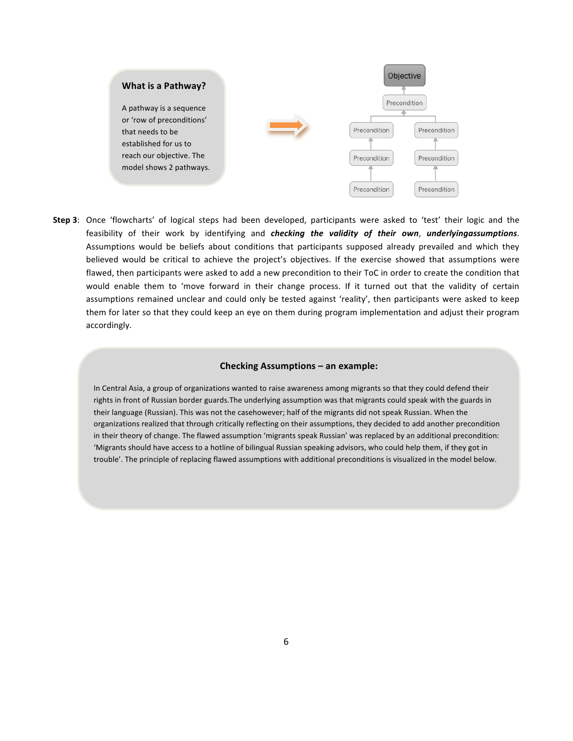

**Step 3**: Once 'flowcharts' of logical steps had been developed, participants were asked to 'test' their logic and the feasibility of their work by identifying and *checking the validity of their own*, *underlyingassumptions*. Assumptions would be beliefs about conditions that participants supposed already prevailed and which they believed would be critical to achieve the project's objectives. If the exercise showed that assumptions were flawed, then participants were asked to add a new precondition to their ToC in order to create the condition that would enable them to 'move forward in their change process. If it turned out that the validity of certain assumptions remained unclear and could only be tested against 'reality', then participants were asked to keep them for later so that they could keep an eye on them during program implementation and adjust their program accordingly.

#### **Checking Assumptions - an example:**

In Central Asia, a group of organizations wanted to raise awareness among migrants so that they could defend their rights in front of Russian border guards. The underlying assumption was that migrants could speak with the guards in their language (Russian). This was not the casehowever; half of the migrants did not speak Russian. When the organizations realized that through critically reflecting on their assumptions, they decided to add another precondition in their theory of change. The flawed assumption 'migrants speak Russian' was replaced by an additional precondition: 'Migrants should have access to a hotline of bilingual Russian speaking advisors, who could help them, if they got in trouble'. The principle of replacing flawed assumptions with additional preconditions is visualized in the model below.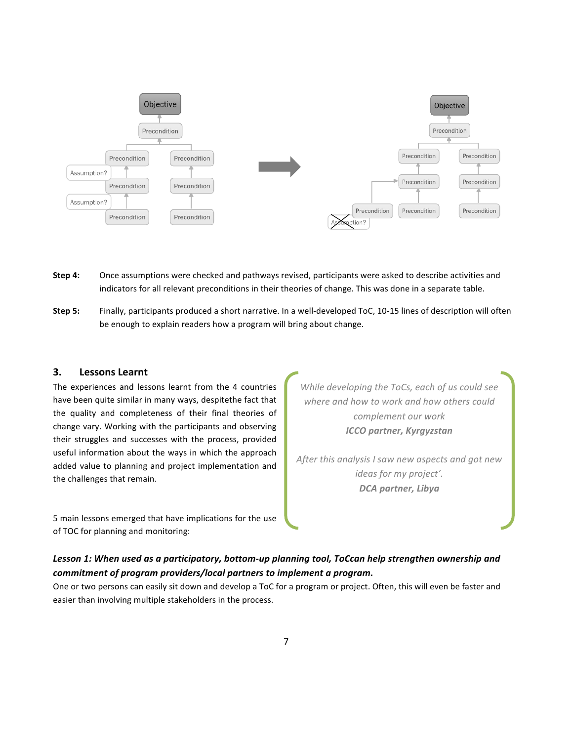

- **Step 4:** Once assumptions were checked and pathways revised, participants were asked to describe activities and indicators for all relevant preconditions in their theories of change. This was done in a separate table.
- **Step 5:** Finally, participants produced a short narrative. In a well-developed ToC, 10-15 lines of description will often be enough to explain readers how a program will bring about change.

#### **3. Lessons Learnt**

The experiences and lessons learnt from the 4 countries have been quite similar in many ways, despitethe fact that the quality and completeness of their final theories of change vary. Working with the participants and observing their struggles and successes with the process, provided useful information about the ways in which the approach added value to planning and project implementation and the challenges that remain.

5 main lessons emerged that have implications for the use of TOC for planning and monitoring:

*While developing the ToCs, each of us could see* where and how to work and how others could *complement our work ICCO partner, Kyrgyzstan*

After this analysis I saw new aspects and got new ideas for my project'. *DCA partner, Libya*

## Lesson 1: When used as a participatory, bottom-up planning tool, ToCcan help strengthen ownership and *commitment of program providers/local partners to implement a program.*

One or two persons can easily sit down and develop a ToC for a program or project. Often, this will even be faster and easier than involving multiple stakeholders in the process.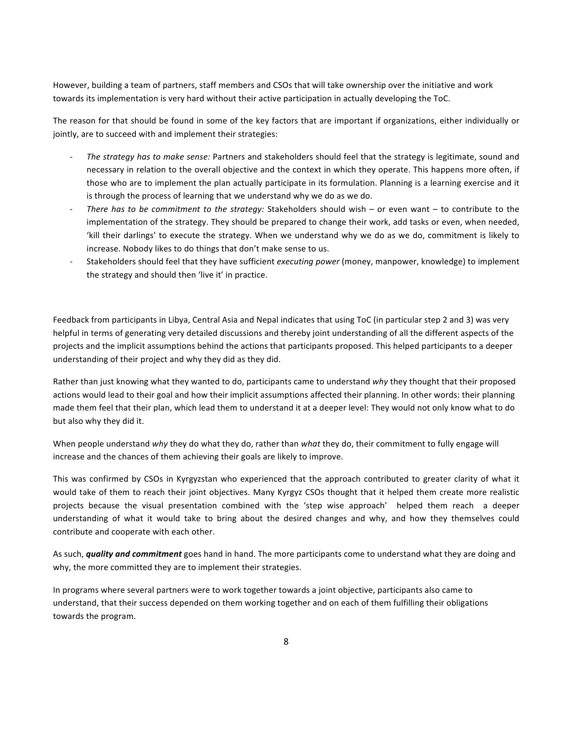However, building a team of partners, staff members and CSOs that will take ownership over the initiative and work towards its implementation is very hard without their active participation in actually developing the ToC.

The reason for that should be found in some of the key factors that are important if organizations, either individually or jointly, are to succeed with and implement their strategies:

- *The strategy has to make sense:* Partners and stakeholders should feel that the strategy is legitimate, sound and necessary in relation to the overall objective and the context in which they operate. This happens more often, if those who are to implement the plan actually participate in its formulation. Planning is a learning exercise and it is through the process of learning that we understand why we do as we do.
- There has to be commitment to the strategy: Stakeholders should wish or even want to contribute to the implementation of the strategy. They should be prepared to change their work, add tasks or even, when needed, 'kill their darlings' to execute the strategy. When we understand why we do as we do, commitment is likely to increase. Nobody likes to do things that don't make sense to us.
- Stakeholders should feel that they have sufficient *executing power* (money, manpower, knowledge) to implement the strategy and should then 'live it' in practice.

Feedback from participants in Libya, Central Asia and Nepal indicates that using ToC (in particular step 2 and 3) was very helpful in terms of generating very detailed discussions and thereby joint understanding of all the different aspects of the projects and the implicit assumptions behind the actions that participants proposed. This helped participants to a deeper understanding of their project and why they did as they did.

Rather than just knowing what they wanted to do, participants came to understand why they thought that their proposed actions would lead to their goal and how their implicit assumptions affected their planning. In other words: their planning made them feel that their plan, which lead them to understand it at a deeper level: They would not only know what to do but also why they did it.

When people understand why they do what they do, rather than what they do, their commitment to fully engage will increase and the chances of them achieving their goals are likely to improve.

This was confirmed by CSOs in Kyrgyzstan who experienced that the approach contributed to greater clarity of what it would take of them to reach their joint objectives. Many Kyrgyz CSOs thought that it helped them create more realistic projects because the visual presentation combined with the 'step wise approach' helped them reach a deeper understanding of what it would take to bring about the desired changes and why, and how they themselves could contribute and cooperate with each other.

As such, *quality and commitment* goes hand in hand. The more participants come to understand what they are doing and why, the more committed they are to implement their strategies.

In programs where several partners were to work together towards a joint objective, participants also came to understand, that their success depended on them working together and on each of them fulfilling their obligations towards the program.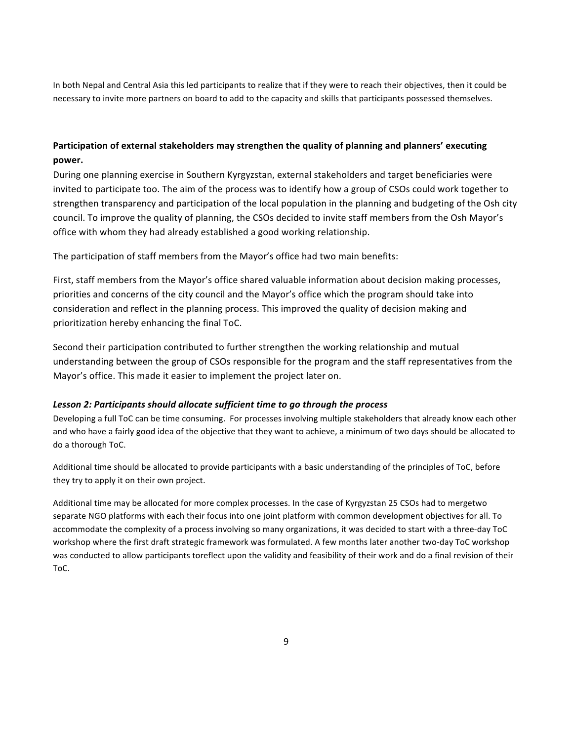In both Nepal and Central Asia this led participants to realize that if they were to reach their objectives, then it could be necessary to invite more partners on board to add to the capacity and skills that participants possessed themselves.

## Participation of external stakeholders may strengthen the quality of planning and planners' executing **power.**

During one planning exercise in Southern Kyrgyzstan, external stakeholders and target beneficiaries were invited to participate too. The aim of the process was to identify how a group of CSOs could work together to strengthen transparency and participation of the local population in the planning and budgeting of the Osh city council. To improve the quality of planning, the CSOs decided to invite staff members from the Osh Mayor's office with whom they had already established a good working relationship.

The participation of staff members from the Mayor's office had two main benefits:

First, staff members from the Mayor's office shared valuable information about decision making processes, priorities and concerns of the city council and the Mayor's office which the program should take into consideration and reflect in the planning process. This improved the quality of decision making and prioritization hereby enhancing the final ToC.

Second their participation contributed to further strengthen the working relationship and mutual understanding between the group of CSOs responsible for the program and the staff representatives from the Mayor's office. This made it easier to implement the project later on.

#### Lesson 2: Participants should allocate sufficient time to go through the process

Developing a full ToC can be time consuming. For processes involving multiple stakeholders that already know each other and who have a fairly good idea of the objective that they want to achieve, a minimum of two days should be allocated to do a thorough ToC.

Additional time should be allocated to provide participants with a basic understanding of the principles of ToC, before they try to apply it on their own project.

Additional time may be allocated for more complex processes. In the case of Kyrgyzstan 25 CSOs had to mergetwo separate NGO platforms with each their focus into one joint platform with common development objectives for all. To accommodate the complexity of a process involving so many organizations, it was decided to start with a three-day ToC workshop where the first draft strategic framework was formulated. A few months later another two-day ToC workshop was conducted to allow participants toreflect upon the validity and feasibility of their work and do a final revision of their ToC.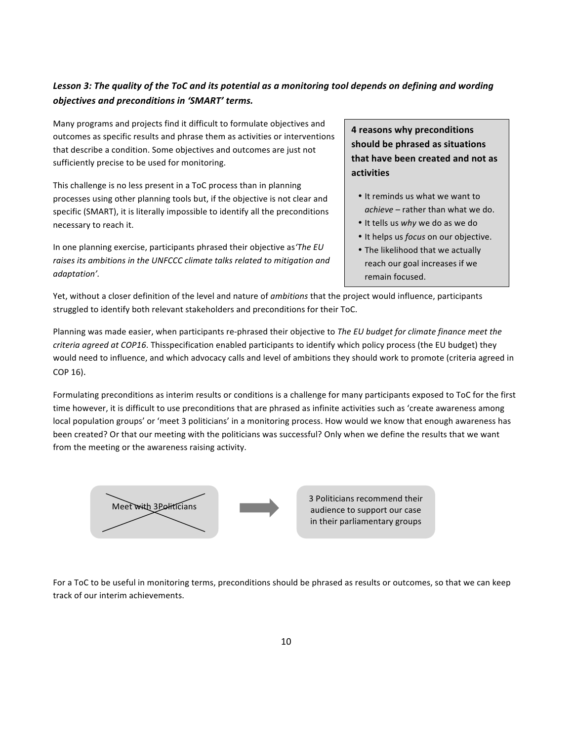## Lesson 3: The quality of the ToC and its potential as a monitoring tool depends on defining and wording *objectives and preconditions in 'SMART' terms.*

Many programs and projects find it difficult to formulate objectives and outcomes as specific results and phrase them as activities or interventions that describe a condition. Some objectives and outcomes are just not sufficiently precise to be used for monitoring.

This challenge is no less present in a ToC process than in planning processes using other planning tools but, if the objective is not clear and specific (SMART), it is literally impossible to identify all the preconditions necessary to reach it.

In one planning exercise, participants phrased their objective as The EU raises its ambitions in the UNFCCC climate talks related to mitigation and *adaptation'.*

**4 reasons why preconditions** should be phrased as situations **that have been created and not as activities**

- It reminds us what we want to achieve - rather than what we do.
- It tells us why we do as we do
- It helps us *focus* on our objective.
- The likelihood that we actually reach our goal increases if we remain focused.

Yet, without a closer definition of the level and nature of *ambitions* that the project would influence, participants struggled to identify both relevant stakeholders and preconditions for their ToC.

Planning was made easier, when participants re-phrased their objective to *The EU budget for climate finance meet the criteria agreed at COP16*. Thisspecification enabled participants to identify which policy process (the EU budget) they would need to influence, and which advocacy calls and level of ambitions they should work to promote (criteria agreed in COP 16).

Formulating preconditions as interim results or conditions is a challenge for many participants exposed to ToC for the first time however, it is difficult to use preconditions that are phrased as infinite activities such as 'create awareness among local population groups' or 'meet 3 politicians' in a monitoring process. How would we know that enough awareness has been created? Or that our meeting with the politicians was successful? Only when we define the results that we want from the meeting or the awareness raising activity.



3 Politicians recommend their audience to support our case in their parliamentary groups

For a ToC to be useful in monitoring terms, preconditions should be phrased as results or outcomes, so that we can keep track of our interim achievements.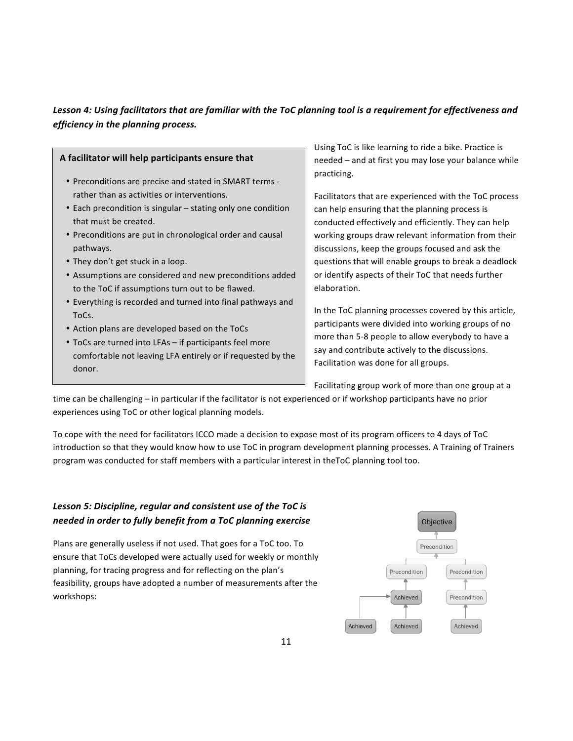## Lesson 4: Using facilitators that are familiar with the ToC planning tool is a requirement for effectiveness and *efficiency in the planning process.*

|                                                                                                                                                                                                                                                              | Using ToC is like learning to ride a bike. Practice is                                                                                                                                                                                                         |
|--------------------------------------------------------------------------------------------------------------------------------------------------------------------------------------------------------------------------------------------------------------|----------------------------------------------------------------------------------------------------------------------------------------------------------------------------------------------------------------------------------------------------------------|
| A facilitator will help participants ensure that                                                                                                                                                                                                             | needed – and at first you may lose your balance while                                                                                                                                                                                                          |
| • Preconditions are precise and stated in SMART terms -<br>rather than as activities or interventions.                                                                                                                                                       | practicing.                                                                                                                                                                                                                                                    |
| • Each precondition is singular - stating only one condition<br>that must be created.                                                                                                                                                                        | Facilitators that are experienced with the ToC process<br>can help ensuring that the planning process is<br>conducted effectively and efficiently. They can help                                                                                               |
| • Preconditions are put in chronological order and causal<br>pathways.                                                                                                                                                                                       | working groups draw relevant information from their<br>discussions, keep the groups focused and ask the                                                                                                                                                        |
| • They don't get stuck in a loop.                                                                                                                                                                                                                            | questions that will enable groups to break a deadlock                                                                                                                                                                                                          |
| • Assumptions are considered and new preconditions added<br>to the ToC if assumptions turn out to be flawed.                                                                                                                                                 | or identify aspects of their ToC that needs further<br>elaboration.                                                                                                                                                                                            |
| • Everything is recorded and turned into final pathways and<br>ToCs.<br>• Action plans are developed based on the ToCs<br>• ToCs are turned into LFAs – if participants feel more<br>comfortable not leaving LFA entirely or if requested by the<br>$\Delta$ | In the ToC planning processes covered by this article,<br>participants were divided into working groups of no<br>more than 5-8 people to allow everybody to have a<br>say and contribute actively to the discussions.<br>Facilitation was done for all groups. |

Facilitating group work of more than one group at a

time can be challenging – in particular if the facilitator is not experienced or if workshop participants have no prior experiences using ToC or other logical planning models.

To cope with the need for facilitators ICCO made a decision to expose most of its program officers to 4 days of ToC introduction so that they would know how to use ToC in program development planning processes. A Training of Trainers program was conducted for staff members with a particular interest in theToC planning tool too.

### Lesson 5: Discipline, regular and consistent use of the ToC is *needed in order to fully benefit from a ToC planning exercise*

donor.

Plans are generally useless if not used. That goes for a ToC too. To ensure that ToCs developed were actually used for weekly or monthly planning, for tracing progress and for reflecting on the plan's feasibility, groups have adopted a number of measurements after the workshops:

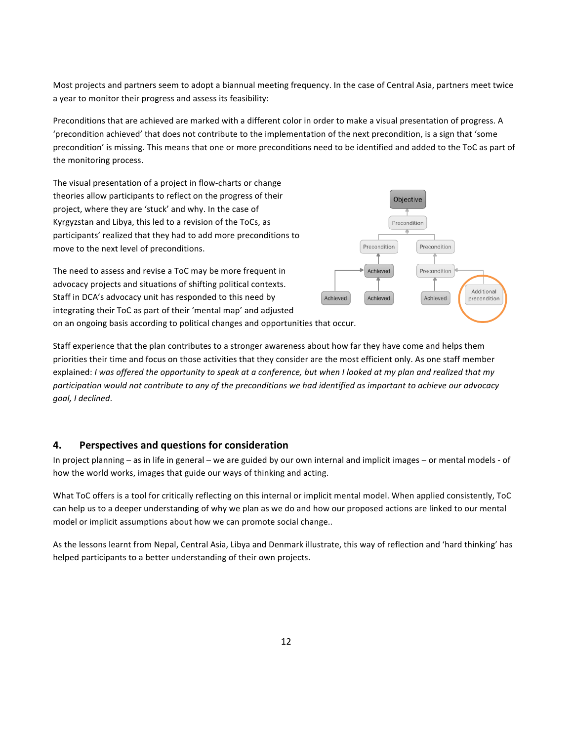Most projects and partners seem to adopt a biannual meeting frequency. In the case of Central Asia, partners meet twice a year to monitor their progress and assess its feasibility:

Preconditions that are achieved are marked with a different color in order to make a visual presentation of progress. A 'precondition achieved' that does not contribute to the implementation of the next precondition, is a sign that 'some precondition' is missing. This means that one or more preconditions need to be identified and added to the ToC as part of the monitoring process.

The visual presentation of a project in flow-charts or change theories allow participants to reflect on the progress of their project, where they are 'stuck' and why. In the case of Kyrgyzstan and Libya, this led to a revision of the ToCs, as participants' realized that they had to add more preconditions to move to the next level of preconditions.

The need to assess and revise a ToC may be more frequent in advocacy projects and situations of shifting political contexts. Staff in DCA's advocacy unit has responded to this need by integrating their ToC as part of their 'mental map' and adjusted



Staff experience that the plan contributes to a stronger awareness about how far they have come and helps them priorities their time and focus on those activities that they consider are the most efficient only. As one staff member explained: *I* was offered the opportunity to speak at a conference, but when I looked at my plan and realized that my participation would not contribute to any of the preconditions we had identified as important to achieve our advocacy *goal, I declined*. 

#### **4. Perspectives and questions for consideration**

In project planning – as in life in general – we are guided by our own internal and implicit images – or mental models - of how the world works, images that guide our ways of thinking and acting.

What ToC offers is a tool for critically reflecting on this internal or implicit mental model. When applied consistently, ToC can help us to a deeper understanding of why we plan as we do and how our proposed actions are linked to our mental model or implicit assumptions about how we can promote social change..

As the lessons learnt from Nepal, Central Asia, Libya and Denmark illustrate, this way of reflection and 'hard thinking' has helped participants to a better understanding of their own projects.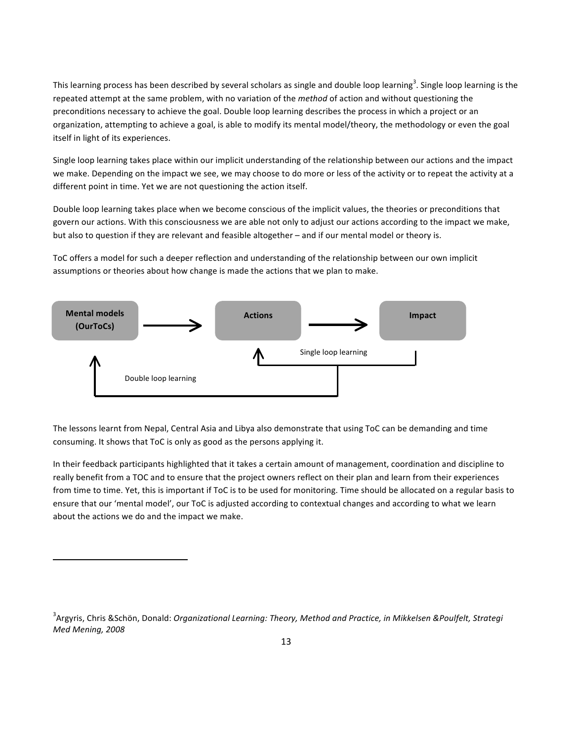This learning process has been described by several scholars as single and double loop learning<sup>3</sup>. Single loop learning is the repeated attempt at the same problem, with no variation of the *method* of action and without questioning the preconditions necessary to achieve the goal. Double loop learning describes the process in which a project or an organization, attempting to achieve a goal, is able to modify its mental model/theory, the methodology or even the goal itself in light of its experiences.

Single loop learning takes place within our implicit understanding of the relationship between our actions and the impact we make. Depending on the impact we see, we may choose to do more or less of the activity or to repeat the activity at a different point in time. Yet we are not questioning the action itself.

Double loop learning takes place when we become conscious of the implicit values, the theories or preconditions that govern our actions. With this consciousness we are able not only to adjust our actions according to the impact we make, but also to question if they are relevant and feasible altogether – and if our mental model or theory is.

ToC offers a model for such a deeper reflection and understanding of the relationship between our own implicit assumptions or theories about how change is made the actions that we plan to make.



The lessons learnt from Nepal, Central Asia and Libya also demonstrate that using ToC can be demanding and time consuming. It shows that ToC is only as good as the persons applying it.

In their feedback participants highlighted that it takes a certain amount of management, coordination and discipline to really benefit from a TOC and to ensure that the project owners reflect on their plan and learn from their experiences from time to time. Yet, this is important if ToC is to be used for monitoring. Time should be allocated on a regular basis to ensure that our 'mental model', our ToC is adjusted according to contextual changes and according to what we learn about the actions we do and the impact we make.

<u> 1989 - Jan Samuel Barbara, margaret e</u>

<sup>&</sup>lt;sup>3</sup>Argyris, Chris &Schön, Donald: *Organizational Learning: Theory, Method and Practice, in Mikkelsen &Poulfelt, Strategi Med Mening, 2008*